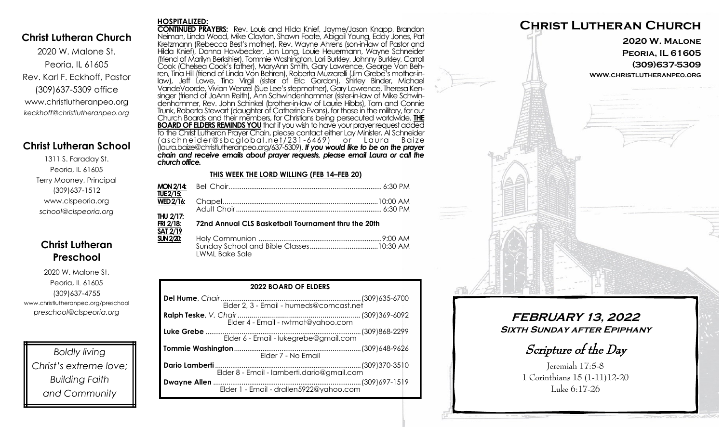## **Christ Lutheran Church**

2020 W. Malone St. Peoria, IL 61605 Rev. Karl F. Eckhoff, Pastor (309)637-5309 office www.christlutheranpeo.org *keckhoff@christlutheranpeo.org*

# **Christ Lutheran School**

1311 S. Faraday St. Peoria, IL 61605 Terry Mooney, Principal (309)637-1512 www.clspeoria.org *school@clspeoria.org*

# **Christ Lutheran Preschool**

2020 W. Malone St. Peoria, IL 61605 (309)637-4755 www.christlutheranpeo.org/preschool *preschool@clspeoria.org*

*Boldly living Christ's extreme love; Building Faith and Community*

**HOSPITALIZED: CONTINUED PRAYERS:** Rev. Louis and Hilda Knief, Jayme/Jason Knapp, Brandon Neiman, Linda Wood, Mike Clayton, Shawn Foote, Abigail Young, Eddy Jones, Pat Kretzmann (Rebecca Best's mother), Rev. Wayne Ahrens (son-in-law of Pastor and Hilda Knief), Donna Hawbecker, Jan Long, Louie Heuermann, Wayne Schneider (friend of Marilyn Berkshier), Tommie Washington, Lori Burkley, Johnny Burkley, Carroll Cook (Chelsea Cook's father), MaryAnn Smith, Gary Lawrence, George Von Behren, Tina Hill (friend of Linda Von Behren), Roberta Muzzarelli (Jim Grebe's mother-inlaw), Jeff Lowe, Tina Virgil (sister of Eric Gordon), Shirley Binder, Michael VandeVoorde, Vivian Wenzel (Sue Lee's stepmother), Gary Lawrence, Theresa Kensinger (friend of JoAnn Reith), Ann Schwindenhammer (sister-in-law of Mike Schwindenhammer, Rev. John Schinkel (brother-in-law of Laurie Hibbs), Tom and Connie Trunk, Roberta Stewart (daughter of Catherine Evans), for those in the military, for our Church Boards and their members, for Christians being persecuted worldwide. **THE BOARD OF ELDERS REMINDS YOU** that if you wish to have your prayer request added to the Christ Lutheran Prayer Chain, please contact either Lay Minister, Al Schneider (aschnei der@sbcglobal .net/231 -6469) or Laura B aize (laura.baize@christlutheranpeo.org/637-5309). *If you would like to be on the prayer chain and receive emails about prayer requests, please email Laura or call the church office.*

#### **THIS WEEK THE LORD WILLING (FEB 14–FEB 20)**

| <u>TUE 2/15:</u> |                                                               |  |
|------------------|---------------------------------------------------------------|--|
|                  |                                                               |  |
|                  |                                                               |  |
| <u>THU 2/17:</u> |                                                               |  |
|                  | FRI 2/18: 72nd Annual CLS Basketball Tournament thru the 20th |  |

### **FRI 2/18: 72nd Annual CLS Basketball Tournament thru the 20th**

| <b>SAT 2/19</b> |                       |  |
|-----------------|-----------------------|--|
| SUN2/20         |                       |  |
|                 | <b>LWML Bake Sale</b> |  |

| <b>2022 BOARD OF ELDERS</b>             |  |
|-----------------------------------------|--|
|                                         |  |
| Elder 4 - Email - rwtmat@yahoo.com      |  |
| Elder 6 - Email - lukegrebe@gmail.com   |  |
| Elder 7 - No Email                      |  |
|                                         |  |
| Elder 1 - Email - drallen5922@yahoo.com |  |



**FEBRUARY 13, 2022 Sixth Sunday after Epiphany** 

Scripture of the Day

Jeremiah 17:5-8 1 Corinthians 15 (1-11)12-20 Luke 6:17-26